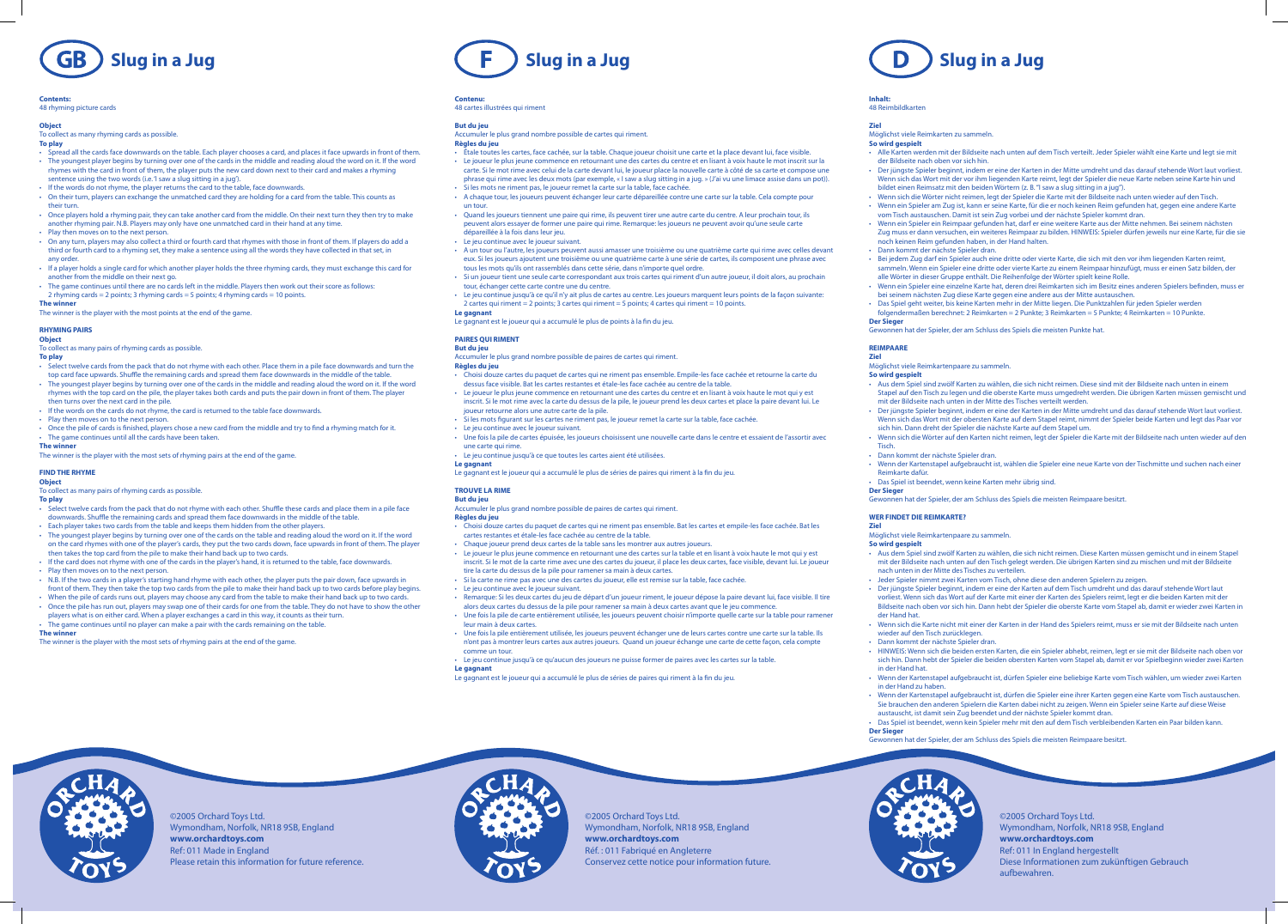©2005 Orchard Toys Ltd.

Wymondham, Norfolk, NR18 9SB, England

**www.orchardtoys.com** Ref: 011 Made in England

Please retain this information for future reference.

©2005 Orchard Toys Ltd.

Wymondham, Norfolk, NR18 9SB, England

**www.orchardtoys.com** Réf. : 011 Fabriqué en Angleterre

Conservez cette notice pour information future.

©2005 Orchard Toys Ltd. Wymondham, Norfolk, NR18 9SB, England **www.orchardtoys.com** Ref: 011 In England hergestellt Diese Informationen zum zukünftigen Gebrauch aufbewahren.

# **Inhalt:**

# 48 Reimbildkarten

# **Ziel**

Möglichst viele Reimkarten zu sammeln.

- **So wird gespielt**
- 
- 
- - Dann kommt der nächste Spieler dran.
- -
	- **Der Sieger**

- • Alle Karten werden mit der Bildseite nach unten auf dem Tisch verteilt. Jeder Spieler wählt eine Karte und legt sie mit der Bildseite nach oben vor sich hin.
- Der jüngste Spieler beginnt, indem er eine der Karten in der Mitte umdreht und das darauf stehende Wort laut vorliest. Wenn sich das Wort mit der vor ihm liegenden Karte reimt, legt der Spieler die neue Karte neben seine Karte hin und bildet einen Reimsatz mit den beiden Wörtern (z. B."I saw a slug sitting in a jug").
- Wenn sich die Wörter nicht reimen, legt der Spieler die Karte mit der Bildseite nach unten wieder auf den Tisch. • Wenn ein Spieler am Zug ist, kann er seine Karte, für die er noch keinen Reim gefunden hat, gegen eine andere Karte vom Tisch austauschen. Damit ist sein Zug vorbei und der nächste Spieler kommt dran.
- Wenn ein Spieler ein Reimpaar gefunden hat, darf er eine weitere Karte aus der Mitte nehmen. Bei seinem nächsten Zug muss er dann versuchen, ein weiteres Reimpaar zu bilden. HINWEIS: Spieler dürfen jeweils nur eine Karte, für die sie noch keinen Reim gefunden haben, in der Hand halten.
	-
- Bei jedem Zug darf ein Spieler auch eine dritte oder vierte Karte, die sich mit den vor ihm liegenden Karten reimt, sammeln. Wenn ein Spieler eine dritte oder vierte Karte zu einem Reimpaar hinzufügt, muss er einen Satz bilden, der alle Wörter in dieser Gruppe enthält. Die Reihenfolge der Wörter spielt keine Rolle.
- Wenn ein Spieler eine einzelne Karte hat, deren drei Reimkarten sich im Besitz eines anderen Spielers befinden, muss er bei seinem nächsten Zug diese Karte gegen eine andere aus der Mitte austauschen.
- Das Spiel geht weiter, bis keine Karten mehr in der Mitte liegen. Die Punktzahlen für jeden Spieler werden
- folgendermaßen berechnet: 2 Reimkarten = 2 Punkte; 3 Reimkarten = 5 Punkte; 4 Reimkarten = 10 Punkte.

- Aus dem Spiel sind zwölf Karten zu wählen, die sich nicht reimen. Diese sind mit der Bildseite nach unten in einem Stapel auf den Tisch zu legen und die oberste Karte muss umgedreht werden. Die übrigen Karten müssen gemischt und mit der Bildseite nach unten in der Mitte des Tisches verteilt werden.
- Der jüngste Spieler beginnt, indem er eine der Karten in der Mitte umdreht und das darauf stehende Wort laut vorliest. Wenn sich das Wort mit der obersten Karte auf dem Stapel reimt, nimmt der Spieler beide Karten und legt das Paar vor sich hin. Dann dreht der Spieler die nächste Karte auf dem Stapel um.
- Wenn sich die Wörter auf den Karten nicht reimen, legt der Spieler die Karte mit der Bildseite nach unten wieder auf den
- Das Spiel ist beendet, wenn keine Karten mehr übrig sind.
- Gewonnen hat der Spieler, der am Schluss des Spiels die meisten Reimpaare besitzt.

Gewonnen hat der Spieler, der am Schluss des Spiels die meisten Punkte hat.

# **REIMPAARE**

- **Ziel** Möglichst viele Reimkartenpaare zu sammeln. **So wird gespielt**
	-
	-

Tisch.

• Dann kommt der nächste Spieler dran. • Wenn der Kartenstapel aufgebraucht ist, wählen die Spieler eine neue Karte von der Tischmitte und suchen nach einer

Reimkarte dafür.

**Der Sieger**

# **WER FINDET DIE REIMKARTE?**

**Ziel**

- Select twelve cards from the pack that do not rhyme with each other. Place them in a pile face downwards and turn the top card face upwards. Shuffle the remaining cards and spread them face downwards in the middle of the table. • The youngest player begins by turning over one of the cards in the middle and reading aloud the word on it. If the word rhymes with the top card on the pile, the player takes both cards and puts the pair down in front of them. The player then turns over the next card in the pile.
- If the words on the cards do not rhyme, the card is returned to the table face downwards.
- Play then moves on to the next person.
- Once the pile of cards is finished, players chose a new card from the middle and try to find a rhyming match for it. • The game continues until all the cards have been taken.

**So wird gespielt**

- To collect as many pairs of rhyming cards as possible.
- **To play**
- Select twelve cards from the pack that do not rhyme with each other. Shuffle these cards and place them in a pile face downwards. Shuffle the remaining cards and spread them face downwards in the middle of the table.
- Each player takes two cards from the table and keeps them hidden from the other players.
- The youngest player begins by turning over one of the cards on the table and reading aloud the word on it. If the word on the card rhymes with one of the player's cards, they put the two cards down, face upwards in front of them. The player then takes the top card from the pile to make their hand back up to two cards.
- If the card does not rhyme with one of the cards in the player's hand, it is returned to the table, face downwards.
- Play then moves on to the next person.
- N.B. If the two cards in a player's starting hand rhyme with each other, the player puts the pair down, face upwards in front of them. They then take the top two cards from the pile to make their hand back up to two cards before play begins.
- When the pile of cards runs out, players may choose any card from the table to make their hand back up to two cards. • Once the pile has run out, players may swap one of their cards for one from the table. They do not have to show the other

der Hand hat.

- Möglichst viele Reimkartenpaare zu sammeln.
- Aus dem Spiel sind zwölf Karten zu wählen, die sich nicht reimen. Diese Karten müssen gemischt und in einem Stapel mit der Bildseite nach unten auf den Tisch gelegt werden. Die übrigen Karten sind zu mischen und mit der Bildseite nach unten in der Mitte des Tisches zu verteilen.
- Jeder Spieler nimmt zwei Karten vom Tisch, ohne diese den anderen Spielern zu zeigen.
- Der jüngste Spieler beginnt, indem er eine der Karten auf dem Tisch umdreht und das darauf stehende Wort laut vorliest. Wenn sich das Wort auf der Karte mit einer der Karten des Spielers reimt, legt er die beiden Karten mit der Bildseite nach oben vor sich hin. Dann hebt der Spieler die oberste Karte vom Stapel ab, damit er wieder zwei Karten in
- Wenn sich die Karte nicht mit einer der Karten in der Hand des Spielers reimt, muss er sie mit der Bildseite nach unten wieder auf den Tisch zurücklegen
- Dann kommt der nächste Spieler dran.
- HINWEIS: Wenn sich die beiden ersten Karten, die ein Spieler abhebt, reimen, legt er sie mit der Bildseite nach oben vor sich hin. Dann hebt der Spieler die beiden obersten Karten vom Stapel ab, damit er vor Spielbeginn wieder zwei Karten
- Wenn der Kartenstapel aufgebraucht ist, dürfen Spieler eine beliebige Karte vom Tisch wählen, um wieder zwei Karten in der Hand zu haben.
- Wenn der Kartenstapel aufgebraucht ist, dürfen die Spieler eine ihrer Karten gegen eine Karte vom Tisch austauschen. Sie brauchen den anderen Spielern die Karten dabei nicht zu zeigen. Wenn ein Spieler seine Karte auf diese Weise austauscht, ist damit sein Zug beendet und der nächste Spieler kommt dran.
- Das Spiel ist beendet, wenn kein Spieler mehr mit den auf dem Tisch verbleibenden Karten ein Paar bilden kann.
- Gewonnen hat der Spieler, der am Schluss des Spiels die meisten Reimpaare besitzt.



players what is on either card. When a player exchanges a card in this way, it counts as their turn. • The game continues until no player can make a pair with the cards remaining on the table.

in der Hand hat.

### **Contenu:** 48 cartes illustrées qui riment

**Der Sieger**

# **Slug in a Jug Slug in a Jug Slug in a Jug**



# **Contents:**

48 rhyming picture cards

# **Object**

To collect as many rhyming cards as possible.

**To play**

- 
- Choisi douze cartes du paquet de cartes qui ne riment pas ensemble. Empile-les face cachée et retourne la carte du dessus face visible. Bat les cartes restantes et étale-les face cachée au centre de la table.
- Le joueur le plus jeune commence en retournant une des cartes du centre et en lisant à voix haute le mot qui y est inscrit. Si le mot rime avec la carte du dessus de la pile, le joueur prend les deux cartes et place la paire devant lui. Le joueur retourne alors une autre carte de la pile.
- Si les mots figurant sur les cartes ne riment pas, le joueur remet la carte sur la table, face cachée.
- Le jeu continue avec le joueur suivant.
- Une fois la pile de cartes épuisée, les joueurs choisissent une nouvelle carte dans le centre et essaient de l'assortir avec une carte qui rime.
- Le jeu continue jusqu'à ce que toutes les cartes aient été utilisées.
- • Spread all the cards face downwards on the table. Each player chooses a card, and places it face upwards in front of them. • The youngest player begins by turning over one of the cards in the middle and reading aloud the word on it. If the word rhymes with the card in front of them, the player puts the new card down next to their card and makes a rhyming
- sentence using the two words (i.e. 'I saw a slug sitting in a jug'). • If the words do not rhyme, the player returns the card to the table, face downwards.
- On their turn, players can exchange the unmatched card they are holding for a card from the table. This counts as their turn.
- • Once players hold a rhyming pair, they can take another card from the middle. On their next turn they then try to make another rhyming pair. N.B. Players may only have one unmatched card in their hand at any time.
- Play then moves on to the next person.
- • On any turn, players may also collect a third or fourth card that rhymes with those in front of them. If players do add a third or fourth card to a rhyming set, they make a sentence using all the words they have collected in that set, in any order.
- • If a player holds a single card for which another player holds the three rhyming cards, they must exchange this card for another from the middle on their next go.
- The game continues until there are no cards left in the middle. Players then work out their score as follows: 2 rhyming cards = 2 points; 3 rhyming cards = 5 points; 4 rhyming cards = 10 points.
- **The winner**

The winner is the player with the most points at the end of the game.

- Choisi douze cartes du paquet de cartes qui ne riment pas ensemble. Bat les cartes et empile-les face cachée. Bat les cartes restantes et étale-les face cachée au centre de la table.
- Chaque joueur prend deux cartes de la table sans les montrer aux autres joueurs.
- Le joueur le plus jeune commence en retournant une des cartes sur la table et en lisant à voix haute le mot qui y est inscrit. Si le mot de la carte rime avec une des cartes du joueur, il place les deux cartes, face visible, devant lui. Le joueur tire la carte du dessus de la pile pour ramener sa main à deux cartes.
- Si la carte ne rime pas avec une des cartes du joueur, elle est remise sur la table, face cachée.
- Le jeu continue avec le joueur suivant.
- Remarque: Si les deux cartes du jeu de départ d'un joueur riment, le joueur dépose la paire devant lui, face visible. Il tire alors deux cartes du dessus de la pile pour ramener sa main à deux cartes avant que le jeu commence.
- Une fois la pile de carte entièrement utilisée, les joueurs peuvent choisir n'importe quelle carte sur la table pour ramener leur main à deux cartes.
- Une fois la pile entièrement utilisée, les joueurs peuvent échanger une de leurs cartes contre une carte sur la table. Ils n'ont pas à montrer leurs cartes aux autres joueurs. Quand un joueur échange une carte de cette façon, cela compte comme un tour.

# **RHYMING PAIRS**

# **Object**

To collect as many pairs of rhyming cards as possible.

# **To play**

# **The winner**

The winner is the player with the most sets of rhyming pairs at the end of the game.

# **FIND THE RHYME**

# **Object**

# **The winner**

The winner is the player with the most sets of rhyming pairs at the end of the game.

# **But du jeu**

- Accumuler le plus grand nombre possible de cartes qui riment. **Règles du jeu**
- Étale toutes les cartes, face cachée, sur la table. Chaque joueur choisit une carte et la place devant lui, face visible.
- Le joueur le plus jeune commence en retournant une des cartes du centre et en lisant à voix haute le mot inscrit sur la carte. Si le mot rime avec celui de la carte devant lui, le joueur place la nouvelle carte à côté de sa carte et compose une phrase qui rime avec les deux mots (par exemple, « I saw a slug sitting in a jug. » (J'ai vu une limace assise dans un pot)).
- Si les mots ne riment pas, le joueur remet la carte sur la table, face cachée.
- A chaque tour, les joueurs peuvent échanger leur carte dépareillée contre une carte sur la table. Cela compte pour un tour.
- Quand les joueurs tiennent une paire qui rime, ils peuvent tirer une autre carte du centre. A leur prochain tour, ils peuvent alors essayer de former une paire qui rime. Remarque: les joueurs ne peuvent avoir qu'une seule carte dépareillée à la fois dans leur jeu.
- Le jeu continue avec le joueur suivant.
- A un tour ou l'autre, les joueurs peuvent aussi amasser une troisième ou une quatrième carte qui rime avec celles devant eux. Si les joueurs ajoutent une troisième ou une quatrième carte à une série de cartes, ils composent une phrase avec tous les mots qu'ils ont rassemblés dans cette série, dans n'importe quel ordre.
- Si un joueur tient une seule carte correspondant aux trois cartes qui riment d'un autre joueur, il doit alors, au prochain tour, échanger cette carte contre une du centre.
- Le jeu continue jusqu'à ce qu'il n'y ait plus de cartes au centre. Les joueurs marquent leurs points de la façon suivante: 2 cartes qui riment = 2 points; 3 cartes qui riment = 5 points; 4 cartes qui riment = 10 points.

# **Le gagnant**

Le gagnant est le joueur qui a accumulé le plus de points à la fin du jeu.

# **PAIRES QUI RIMENT**

# **But du jeu**

Accumuler le plus grand nombre possible de paires de cartes qui riment. **Règles du jeu**

# **Le gagnant**

Le gagnant est le joueur qui a accumulé le plus de séries de paires qui riment à la fin du jeu.

# **TROUVE LA RIME**

# **But du jeu**

Accumuler le plus grand nombre possible de paires de cartes qui riment.

# **Règles du jeu**

- Le jeu continue jusqu'à ce qu'aucun des joueurs ne puisse former de paires avec les cartes sur la table.
- **Le gagnant**
- Le gagnant est le joueur qui a accumulé le plus de séries de paires qui riment à la fin du jeu.